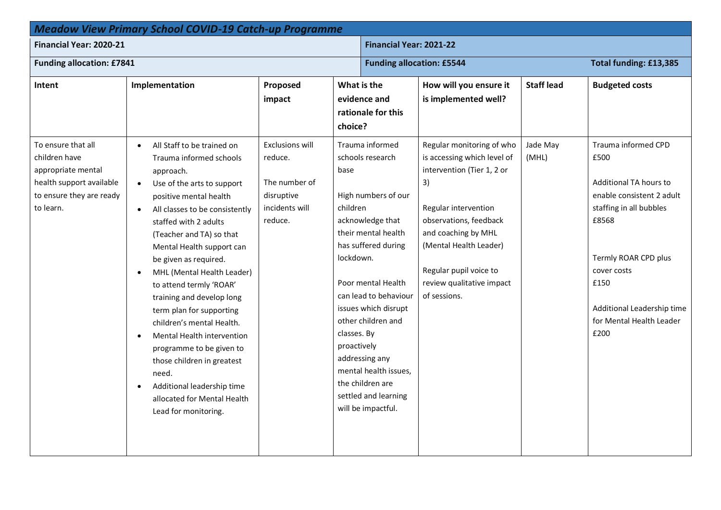| <b>Meadow View Primary School COVID-19 Catch-up Programme</b>                                                                  |                                                                                                                                                                                                                                                                                                                                                                                                                                                                                                                                                                                                                                                                                                   |                                                                                               |                                                                                                                                                                                                                                                                                                                                                                                                       |                                                                                                                                                                                                                                                                        |                   |                                                                                                                                                                                                                                         |  |
|--------------------------------------------------------------------------------------------------------------------------------|---------------------------------------------------------------------------------------------------------------------------------------------------------------------------------------------------------------------------------------------------------------------------------------------------------------------------------------------------------------------------------------------------------------------------------------------------------------------------------------------------------------------------------------------------------------------------------------------------------------------------------------------------------------------------------------------------|-----------------------------------------------------------------------------------------------|-------------------------------------------------------------------------------------------------------------------------------------------------------------------------------------------------------------------------------------------------------------------------------------------------------------------------------------------------------------------------------------------------------|------------------------------------------------------------------------------------------------------------------------------------------------------------------------------------------------------------------------------------------------------------------------|-------------------|-----------------------------------------------------------------------------------------------------------------------------------------------------------------------------------------------------------------------------------------|--|
| Financial Year: 2020-21                                                                                                        |                                                                                                                                                                                                                                                                                                                                                                                                                                                                                                                                                                                                                                                                                                   |                                                                                               |                                                                                                                                                                                                                                                                                                                                                                                                       | Financial Year: 2021-22                                                                                                                                                                                                                                                |                   |                                                                                                                                                                                                                                         |  |
| <b>Funding allocation: £7841</b>                                                                                               |                                                                                                                                                                                                                                                                                                                                                                                                                                                                                                                                                                                                                                                                                                   |                                                                                               |                                                                                                                                                                                                                                                                                                                                                                                                       | Total funding: £13,385<br><b>Funding allocation: £5544</b>                                                                                                                                                                                                             |                   |                                                                                                                                                                                                                                         |  |
| Intent                                                                                                                         | Implementation                                                                                                                                                                                                                                                                                                                                                                                                                                                                                                                                                                                                                                                                                    | Proposed<br>impact                                                                            | What is the<br>evidence and<br>rationale for this<br>choice?                                                                                                                                                                                                                                                                                                                                          | How will you ensure it<br>is implemented well?                                                                                                                                                                                                                         | <b>Staff lead</b> | <b>Budgeted costs</b>                                                                                                                                                                                                                   |  |
| To ensure that all<br>children have<br>appropriate mental<br>health support available<br>to ensure they are ready<br>to learn. | All Staff to be trained on<br>$\bullet$<br>Trauma informed schools<br>approach.<br>Use of the arts to support<br>$\bullet$<br>positive mental health<br>All classes to be consistently<br>$\bullet$<br>staffed with 2 adults<br>(Teacher and TA) so that<br>Mental Health support can<br>be given as required.<br>MHL (Mental Health Leader)<br>$\bullet$<br>to attend termly 'ROAR'<br>training and develop long<br>term plan for supporting<br>children's mental Health.<br><b>Mental Health intervention</b><br>$\bullet$<br>programme to be given to<br>those children in greatest<br>need.<br>Additional leadership time<br>$\bullet$<br>allocated for Mental Health<br>Lead for monitoring. | <b>Exclusions will</b><br>reduce.<br>The number of<br>disruptive<br>incidents will<br>reduce. | Trauma informed<br>schools research<br>base<br>High numbers of our<br>children<br>acknowledge that<br>their mental health<br>has suffered during<br>lockdown.<br>Poor mental Health<br>can lead to behaviour<br>issues which disrupt<br>other children and<br>classes. By<br>proactively<br>addressing any<br>mental health issues,<br>the children are<br>settled and learning<br>will be impactful. | Regular monitoring of who<br>is accessing which level of<br>intervention (Tier 1, 2 or<br>3)<br>Regular intervention<br>observations, feedback<br>and coaching by MHL<br>(Mental Health Leader)<br>Regular pupil voice to<br>review qualitative impact<br>of sessions. | Jade May<br>(MHL) | Trauma informed CPD<br>£500<br>Additional TA hours to<br>enable consistent 2 adult<br>staffing in all bubbles<br>£8568<br>Termly ROAR CPD plus<br>cover costs<br>£150<br>Additional Leadership time<br>for Mental Health Leader<br>£200 |  |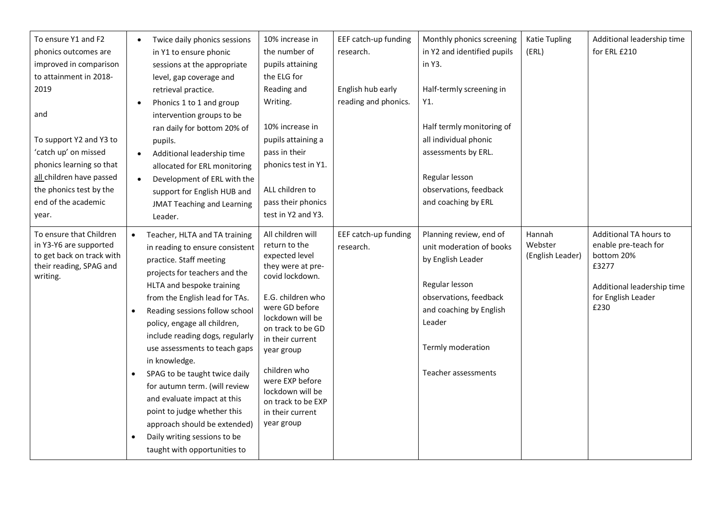| To ensure Y1 and F2<br>phonics outcomes are<br>improved in comparison<br>to attainment in 2018-<br>2019<br>and<br>To support Y2 and Y3 to<br>'catch up' on missed<br>phonics learning so that<br>all children have passed<br>the phonics test by the<br>end of the academic<br>year. | Twice daily phonics sessions<br>in Y1 to ensure phonic<br>sessions at the appropriate<br>level, gap coverage and<br>retrieval practice.<br>Phonics 1 to 1 and group<br>$\bullet$<br>intervention groups to be<br>ran daily for bottom 20% of<br>pupils.<br>Additional leadership time<br>$\bullet$<br>allocated for ERL monitoring<br>Development of ERL with the<br>$\bullet$<br>support for English HUB and<br><b>JMAT Teaching and Learning</b><br>Leader.                                                                                                                                   | 10% increase in<br>the number of<br>pupils attaining<br>the ELG for<br>Reading and<br>Writing.<br>10% increase in<br>pupils attaining a<br>pass in their<br>phonics test in Y1.<br>ALL children to<br>pass their phonics<br>test in Y2 and Y3.                                                                                | EEF catch-up funding<br>research.<br>English hub early<br>reading and phonics. | Monthly phonics screening<br>in Y2 and identified pupils<br>in Y3.<br>Half-termly screening in<br>Y1.<br>Half termly monitoring of<br>all individual phonic<br>assessments by ERL.<br>Regular lesson<br>observations, feedback<br>and coaching by ERL | Katie Tupling<br>(ERL)                | Additional leadership time<br>for ERL £210                                                                                        |
|--------------------------------------------------------------------------------------------------------------------------------------------------------------------------------------------------------------------------------------------------------------------------------------|-------------------------------------------------------------------------------------------------------------------------------------------------------------------------------------------------------------------------------------------------------------------------------------------------------------------------------------------------------------------------------------------------------------------------------------------------------------------------------------------------------------------------------------------------------------------------------------------------|-------------------------------------------------------------------------------------------------------------------------------------------------------------------------------------------------------------------------------------------------------------------------------------------------------------------------------|--------------------------------------------------------------------------------|-------------------------------------------------------------------------------------------------------------------------------------------------------------------------------------------------------------------------------------------------------|---------------------------------------|-----------------------------------------------------------------------------------------------------------------------------------|
| To ensure that Children<br>in Y3-Y6 are supported<br>to get back on track with<br>their reading, SPAG and<br>writing.                                                                                                                                                                | Teacher, HLTA and TA training<br>in reading to ensure consistent<br>practice. Staff meeting<br>projects for teachers and the<br>HLTA and bespoke training<br>from the English lead for TAs.<br>Reading sessions follow school<br>policy, engage all children,<br>include reading dogs, regularly<br>use assessments to teach gaps<br>in knowledge.<br>SPAG to be taught twice daily<br>$\bullet$<br>for autumn term. (will review<br>and evaluate impact at this<br>point to judge whether this<br>approach should be extended)<br>Daily writing sessions to be<br>taught with opportunities to | All children will<br>return to the<br>expected level<br>they were at pre-<br>covid lockdown.<br>E.G. children who<br>were GD before<br>lockdown will be<br>on track to be GD<br>in their current<br>year group<br>children who<br>were EXP before<br>lockdown will be<br>on track to be EXP<br>in their current<br>year group | EEF catch-up funding<br>research.                                              | Planning review, end of<br>unit moderation of books<br>by English Leader<br>Regular lesson<br>observations, feedback<br>and coaching by English<br>Leader<br>Termly moderation<br>Teacher assessments                                                 | Hannah<br>Webster<br>(English Leader) | Additional TA hours to<br>enable pre-teach for<br>bottom 20%<br>£3277<br>Additional leadership time<br>for English Leader<br>£230 |